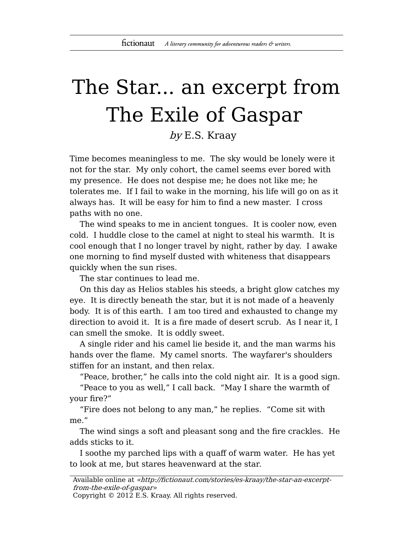## The Star... an excerpt from The Exile of Gaspar

by E.S. Kraay

Time becomes meaningless to me. The sky would be lonely were it not for the star. My only cohort, the camel seems ever bored with my presence. He does not despise me; he does not like me; he tolerates me. If I fail to wake in the morning, his life will go on as it always has. It will be easy for him to find a new master. I cross paths with no one.

The wind speaks to me in ancient tongues. It is cooler now, even cold. I huddle close to the camel at night to steal his warmth. It is cool enough that I no longer travel by night, rather by day. I awake one morning to find myself dusted with whiteness that disappears quickly when the sun rises.

The star continues to lead me.

On this day as Helios stables his steeds, a bright glow catches my eye. It is directly beneath the star, but it is not made of a heavenly body. It is of this earth. I am too tired and exhausted to change my direction to avoid it. It is a fire made of desert scrub. As I near it, I can smell the smoke. It is oddly sweet.

A single rider and his camel lie beside it, and the man warms his hands over the flame. My camel snorts. The wayfarer's shoulders stiffen for an instant, and then relax.

"Peace, brother," he calls into the cold night air. It is a good sign.

"Peace to you as well," I call back. "May I share the warmth of your fire?"

"Fire does not belong to any man," he replies. "Come sit with me."

The wind sings a soft and pleasant song and the fire crackles. He adds sticks to it.

I soothe my parched lips with a quaff of warm water. He has yet to look at me, but stares heavenward at the star.

Copyright © 2012 E.S. Kraay. All rights reserved.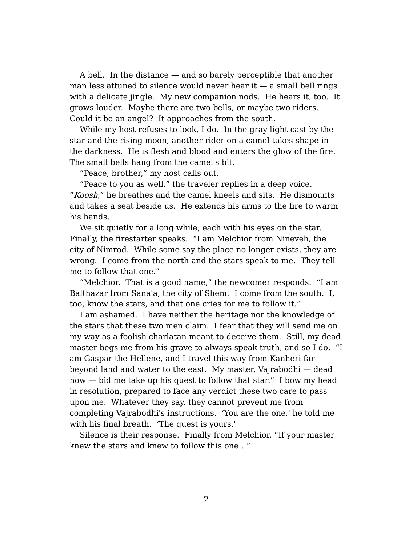A bell. In the distance — and so barely perceptible that another man less attuned to silence would never hear it  $-$  a small bell rings with a delicate jingle. My new companion nods. He hears it, too. It grows louder. Maybe there are two bells, or maybe two riders. Could it be an angel? It approaches from the south.

While my host refuses to look, I do. In the gray light cast by the star and the rising moon, another rider on a camel takes shape in the darkness. He is flesh and blood and enters the glow of the fire. The small bells hang from the camel's bit.

"Peace, brother," my host calls out.

"Peace to you as well," the traveler replies in a deep voice. "Koosh," he breathes and the camel kneels and sits. He dismounts and takes a seat beside us. He extends his arms to the fire to warm his hands.

We sit quietly for a long while, each with his eyes on the star. Finally, the firestarter speaks. "I am Melchior from Nineveh, the city of Nimrod. While some say the place no longer exists, they are wrong. I come from the north and the stars speak to me. They tell me to follow that one."

"Melchior. That is a good name," the newcomer responds. "I am Balthazar from Sana'a, the city of Shem. I come from the south. I, too, know the stars, and that one cries for me to follow it."

I am ashamed. I have neither the heritage nor the knowledge of the stars that these two men claim. I fear that they will send me on my way as a foolish charlatan meant to deceive them. Still, my dead master begs me from his grave to always speak truth, and so I do. "I am Gaspar the Hellene, and I travel this way from Kanheri far beyond land and water to the east. My master, Vajrabodhi — dead now — bid me take up his quest to follow that star." I bow my head in resolution, prepared to face any verdict these two care to pass upon me. Whatever they say, they cannot prevent me from completing Vajrabodhi's instructions. 'You are the one,' he told me with his final breath. 'The quest is yours.'

Silence is their response. Finally from Melchior, "If your master knew the stars and knew to follow this one…"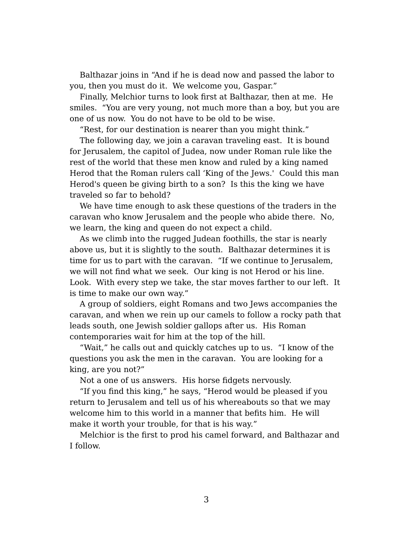Balthazar joins in "And if he is dead now and passed the labor to you, then you must do it. We welcome you, Gaspar."

Finally, Melchior turns to look first at Balthazar, then at me. He smiles. "You are very young, not much more than a boy, but you are one of us now. You do not have to be old to be wise.

"Rest, for our destination is nearer than you might think."

The following day, we join a caravan traveling east. It is bound for Jerusalem, the capitol of Judea, now under Roman rule like the rest of the world that these men know and ruled by a king named Herod that the Roman rulers call 'King of the Jews.' Could this man Herod's queen be giving birth to a son? Is this the king we have traveled so far to behold?

We have time enough to ask these questions of the traders in the caravan who know Jerusalem and the people who abide there. No, we learn, the king and queen do not expect a child.

As we climb into the rugged Judean foothills, the star is nearly above us, but it is slightly to the south. Balthazar determines it is time for us to part with the caravan. "If we continue to Jerusalem, we will not find what we seek. Our king is not Herod or his line. Look. With every step we take, the star moves farther to our left. It is time to make our own way."

A group of soldiers, eight Romans and two Jews accompanies the caravan, and when we rein up our camels to follow a rocky path that leads south, one Jewish soldier gallops after us. His Roman contemporaries wait for him at the top of the hill.

"Wait," he calls out and quickly catches up to us. "I know of the questions you ask the men in the caravan. You are looking for a king, are you not?"

Not a one of us answers. His horse fidgets nervously.

"If you find this king," he says, "Herod would be pleased if you return to Jerusalem and tell us of his whereabouts so that we may welcome him to this world in a manner that befits him. He will make it worth your trouble, for that is his way."

Melchior is the first to prod his camel forward, and Balthazar and I follow.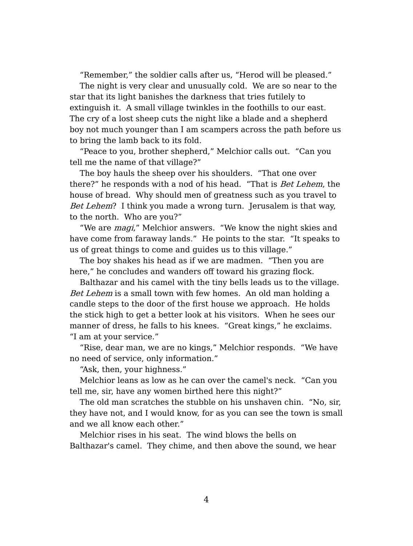"Remember," the soldier calls after us, "Herod will be pleased."

The night is very clear and unusually cold. We are so near to the star that its light banishes the darkness that tries futilely to extinguish it. A small village twinkles in the foothills to our east. The cry of a lost sheep cuts the night like a blade and a shepherd boy not much younger than I am scampers across the path before us to bring the lamb back to its fold.

"Peace to you, brother shepherd," Melchior calls out. "Can you tell me the name of that village?"

The boy hauls the sheep over his shoulders. "That one over there?" he responds with a nod of his head. "That is Bet Lehem, the house of bread. Why should men of greatness such as you travel to Bet Lehem? I think you made a wrong turn. Jerusalem is that way, to the north. Who are you?"

"We are *magi*," Melchior answers. "We know the night skies and have come from faraway lands." He points to the star. "It speaks to us of great things to come and guides us to this village."

The boy shakes his head as if we are madmen. "Then you are here," he concludes and wanders off toward his grazing flock.

Balthazar and his camel with the tiny bells leads us to the village. Bet Lehem is a small town with few homes. An old man holding a candle steps to the door of the first house we approach. He holds the stick high to get a better look at his visitors. When he sees our manner of dress, he falls to his knees. "Great kings," he exclaims. "I am at your service."

"Rise, dear man, we are no kings," Melchior responds. "We have no need of service, only information."

"Ask, then, your highness."

Melchior leans as low as he can over the camel's neck. "Can you tell me, sir, have any women birthed here this night?"

The old man scratches the stubble on his unshaven chin. "No, sir, they have not, and I would know, for as you can see the town is small and we all know each other."

Melchior rises in his seat. The wind blows the bells on Balthazar's camel. They chime, and then above the sound, we hear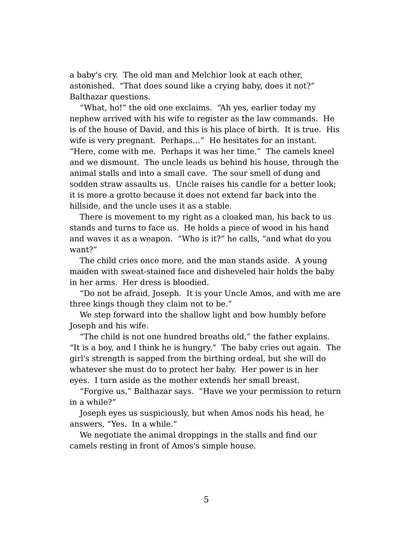a baby's cry. The old man and Melchior look at each other, astonished. "That does sound like a crying baby, does it not?" Balthazar questions.

"What, ho!" the old one exclaims. "Ah yes, earlier today my nephew arrived with his wife to register as the law commands. He is of the house of David, and this is his place of birth. It is true. His wife is very pregnant. Perhaps…" He hesitates for an instant. "Here, come with me. Perhaps it was her time." The camels kneel and we dismount. The uncle leads us behind his house, through the animal stalls and into a small cave. The sour smell of dung and sodden straw assaults us. Uncle raises his candle for a better look; it is more a grotto because it does not extend far back into the hillside, and the uncle uses it as a stable.

There is movement to my right as a cloaked man, his back to us stands and turns to face us. He holds a piece of wood in his hand and waves it as a weapon. "Who is it?" he calls, "and what do you want?"

The child cries once more, and the man stands aside. A young maiden with sweat-stained face and disheveled hair holds the baby in her arms. Her dress is bloodied.

"Do not be afraid, Joseph. It is your Uncle Amos, and with me are three kings though they claim not to be."

We step forward into the shallow light and bow humbly before Joseph and his wife.

"The child is not one hundred breaths old," the father explains. "It is a boy, and I think he is hungry." The baby cries out again. The girl's strength is sapped from the birthing ordeal, but she will do whatever she must do to protect her baby. Her power is in her eyes. I turn aside as the mother extends her small breast.

"Forgive us," Balthazar says. "Have we your permission to return in a while?"

Joseph eyes us suspiciously, but when Amos nods his head, he answers, "Yes. In a while."

We negotiate the animal droppings in the stalls and find our camels resting in front of Amos's simple house.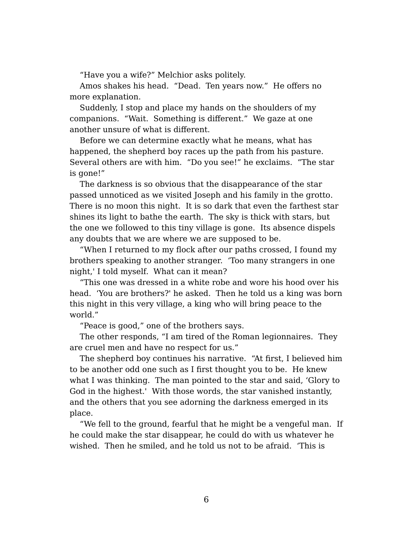"Have you a wife?" Melchior asks politely.

Amos shakes his head. "Dead. Ten years now." He offers no more explanation.

Suddenly, I stop and place my hands on the shoulders of my companions. "Wait. Something is different." We gaze at one another unsure of what is different.

Before we can determine exactly what he means, what has happened, the shepherd boy races up the path from his pasture. Several others are with him. "Do you see!" he exclaims. "The star is gone!"

The darkness is so obvious that the disappearance of the star passed unnoticed as we visited Joseph and his family in the grotto. There is no moon this night. It is so dark that even the farthest star shines its light to bathe the earth. The sky is thick with stars, but the one we followed to this tiny village is gone. Its absence dispels any doubts that we are where we are supposed to be.

"When I returned to my flock after our paths crossed, I found my brothers speaking to another stranger. 'Too many strangers in one night,' I told myself. What can it mean?

"This one was dressed in a white robe and wore his hood over his head. 'You are brothers?' he asked. Then he told us a king was born this night in this very village, a king who will bring peace to the world."

"Peace is good," one of the brothers says.

The other responds, "I am tired of the Roman legionnaires. They are cruel men and have no respect for us."

The shepherd boy continues his narrative. "At first, I believed him to be another odd one such as I first thought you to be. He knew what I was thinking. The man pointed to the star and said, 'Glory to God in the highest.' With those words, the star vanished instantly, and the others that you see adorning the darkness emerged in its place.

"We fell to the ground, fearful that he might be a vengeful man. If he could make the star disappear, he could do with us whatever he wished. Then he smiled, and he told us not to be afraid. 'This is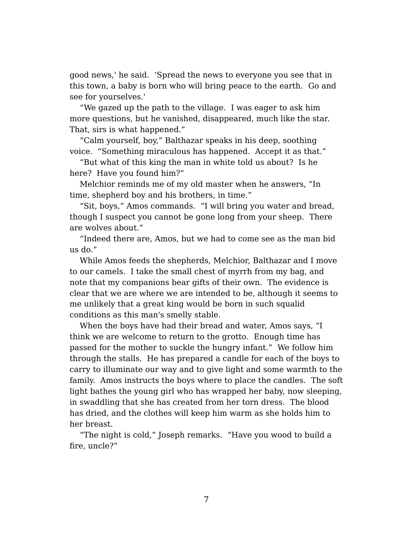good news,' he said. 'Spread the news to everyone you see that in this town, a baby is born who will bring peace to the earth. Go and see for yourselves.'

"We gazed up the path to the village. I was eager to ask him more questions, but he vanished, disappeared, much like the star. That, sirs is what happened."

"Calm yourself, boy," Balthazar speaks in his deep, soothing voice. "Something miraculous has happened. Accept it as that."

"But what of this king the man in white told us about? Is he here? Have you found him?"

Melchior reminds me of my old master when he answers, "In time, shepherd boy and his brothers, in time."

"Sit, boys," Amos commands. "I will bring you water and bread, though I suspect you cannot be gone long from your sheep. There are wolves about."

"Indeed there are, Amos, but we had to come see as the man bid us do."

While Amos feeds the shepherds, Melchior, Balthazar and I move to our camels. I take the small chest of myrrh from my bag, and note that my companions bear gifts of their own. The evidence is clear that we are where we are intended to be, although it seems to me unlikely that a great king would be born in such squalid conditions as this man's smelly stable.

When the boys have had their bread and water, Amos says, "I think we are welcome to return to the grotto. Enough time has passed for the mother to suckle the hungry infant." We follow him through the stalls. He has prepared a candle for each of the boys to carry to illuminate our way and to give light and some warmth to the family. Amos instructs the boys where to place the candles. The soft light bathes the young girl who has wrapped her baby, now sleeping, in swaddling that she has created from her torn dress. The blood has dried, and the clothes will keep him warm as she holds him to her breast.

"The night is cold," Joseph remarks. "Have you wood to build a fire, uncle?"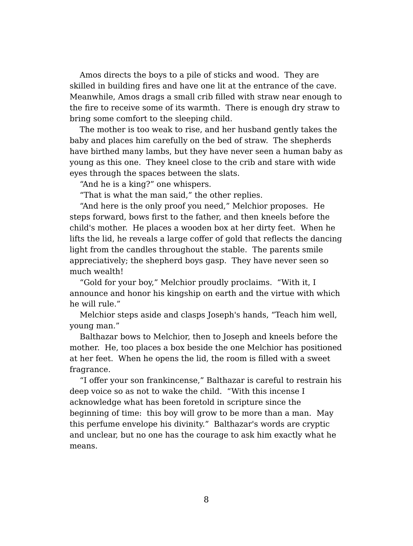Amos directs the boys to a pile of sticks and wood. They are skilled in building fires and have one lit at the entrance of the cave. Meanwhile, Amos drags a small crib filled with straw near enough to the fire to receive some of its warmth. There is enough dry straw to bring some comfort to the sleeping child.

The mother is too weak to rise, and her husband gently takes the baby and places him carefully on the bed of straw. The shepherds have birthed many lambs, but they have never seen a human baby as young as this one. They kneel close to the crib and stare with wide eyes through the spaces between the slats.

"And he is a king?" one whispers.

"That is what the man said," the other replies.

"And here is the only proof you need," Melchior proposes. He steps forward, bows first to the father, and then kneels before the child's mother. He places a wooden box at her dirty feet. When he lifts the lid, he reveals a large coffer of gold that reflects the dancing light from the candles throughout the stable. The parents smile appreciatively; the shepherd boys gasp. They have never seen so much wealth!

"Gold for your boy," Melchior proudly proclaims. "With it, I announce and honor his kingship on earth and the virtue with which he will rule."

Melchior steps aside and clasps Joseph's hands, "Teach him well, young man."

Balthazar bows to Melchior, then to Joseph and kneels before the mother. He, too places a box beside the one Melchior has positioned at her feet. When he opens the lid, the room is filled with a sweet fragrance.

"I offer your son frankincense," Balthazar is careful to restrain his deep voice so as not to wake the child. "With this incense I acknowledge what has been foretold in scripture since the beginning of time: this boy will grow to be more than a man. May this perfume envelope his divinity." Balthazar's words are cryptic and unclear, but no one has the courage to ask him exactly what he means.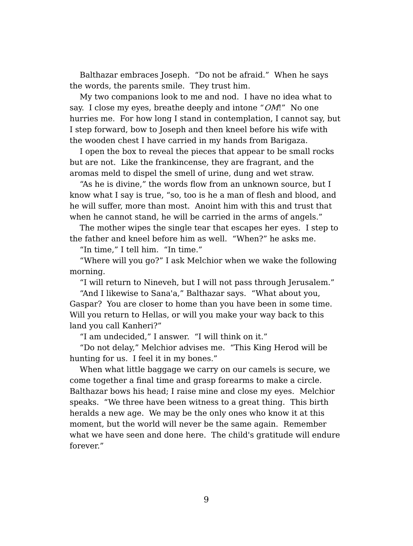Balthazar embraces Joseph. "Do not be afraid." When he says the words, the parents smile. They trust him.

My two companions look to me and nod. I have no idea what to say. I close my eyes, breathe deeply and intone "OM!" No one hurries me. For how long I stand in contemplation, I cannot say, but I step forward, bow to Joseph and then kneel before his wife with the wooden chest I have carried in my hands from Barigaza.

I open the box to reveal the pieces that appear to be small rocks but are not. Like the frankincense, they are fragrant, and the aromas meld to dispel the smell of urine, dung and wet straw.

"As he is divine," the words flow from an unknown source, but I know what I say is true, "so, too is he a man of flesh and blood, and he will suffer, more than most. Anoint him with this and trust that when he cannot stand, he will be carried in the arms of angels."

The mother wipes the single tear that escapes her eyes. I step to the father and kneel before him as well. "When?" he asks me.

"In time," I tell him. "In time."

"Where will you go?" I ask Melchior when we wake the following morning.

"I will return to Nineveh, but I will not pass through Jerusalem."

"And I likewise to Sana'a," Balthazar says. "What about you, Gaspar? You are closer to home than you have been in some time. Will you return to Hellas, or will you make your way back to this land you call Kanheri?"

"I am undecided," I answer. "I will think on it."

"Do not delay," Melchior advises me. "This King Herod will be hunting for us. I feel it in my bones."

When what little baggage we carry on our camels is secure, we come together a final time and grasp forearms to make a circle. Balthazar bows his head; I raise mine and close my eyes. Melchior speaks. "We three have been witness to a great thing. This birth heralds a new age. We may be the only ones who know it at this moment, but the world will never be the same again. Remember what we have seen and done here. The child's gratitude will endure forever."